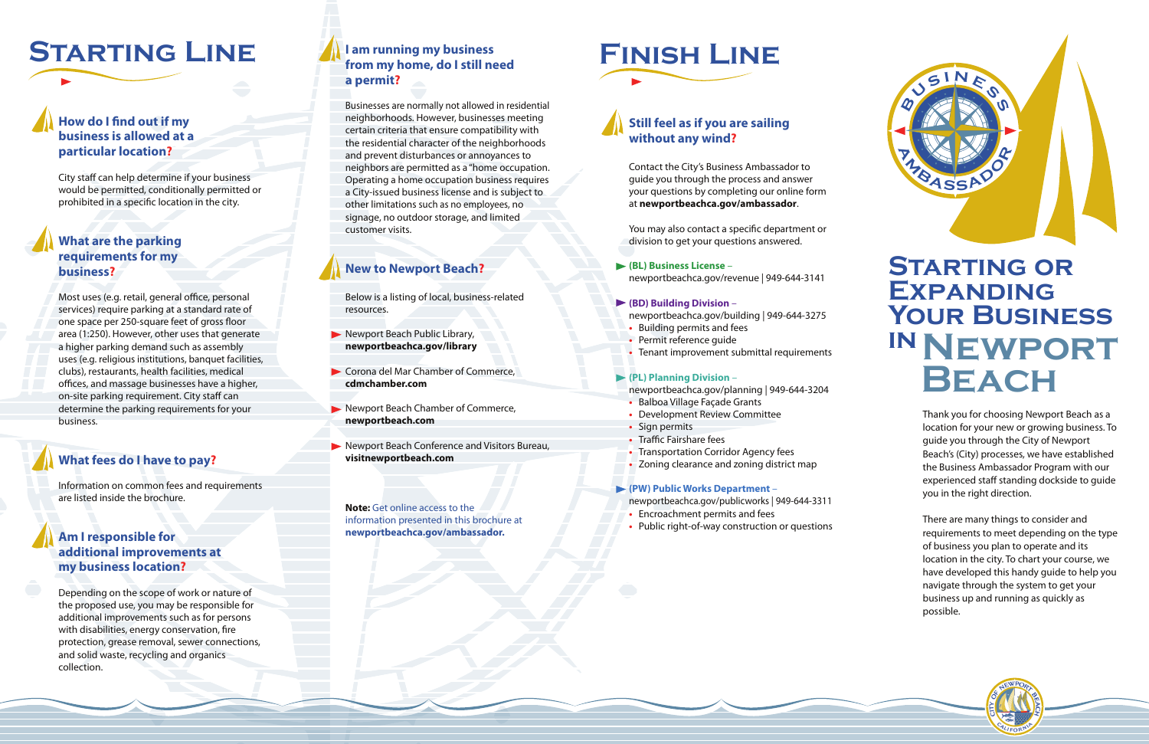# **Finish Line**

### **Still feel as if you are sailing without any wind?**

Contact the City's Business Ambassador to guide you through the process and answer your questions by completing our online form at **newportbeachca.gov/ambassador**.

You may also contact a specific department or division to get your questions answered.

**(BL) Business License** – newportbeachca.gov/revenue | 949-644-3141

#### **(BD) Building Division** –

## **Starting or Expanding Your Business INNEWPORT<br>BEACH**

- newportbeachca.gov/building | 949-644-3275
- Building permits and fees
- Permit reference guide
- Tenant improvement submittal requirements

#### **(PL) Planning Division** –

- newportbeachca.gov/planning | 949-644-3204 **•** Balboa Village Façade Grants
- Development Review Committee
- Sign permits
- Traffic Fairshare fees
- Transportation Corridor Agency fees
- Zoning clearance and zoning district map

#### **(PW) Public Works Department** –

- newportbeachca.gov/publicworks | 949-644-3311
- Encroachment permits and fees
- Public right-of-way construction or questions

Thank you for choosing Newport Beach as a location for your new or growing business. To guide you through the City of Newport Beach's (City) processes, we have established the Business Ambassador Program with our experienced staff standing dockside to guide you in the right direction.

- Newport Beach Public Library, **newportbeachca.gov/library**
- ▶ Corona del Mar Chamber of Commerce, **cdmchamber.com**
- **Newport Beach Chamber of Commerce, newportbeach.com**
- Newport Beach Conference and Visitors Bureau, **visitnewportbeach.com**

**Note:** Get online access to the information presented in this brochure at **newportbeachca.gov/ambassador.** 

### **How do I find out if my business is allowed at a particular location?**

City staff can help determine if your business would be permitted, conditionally permitted or prohibited in a specific location in the city.

> There are many things to consider and requirements to meet depending on the type of business you plan to operate and its location in the city. To chart your course, we have developed this handy guide to help you navigate through the system to get your business up and running as quickly as possible.





### **I am running my business from my home, do I still need a permit?**

Most uses (e.g. retail, general office, personal services) require parking at a standard rate of one space per 250-square feet of gross floor area (1:250). However, other uses that generate a higher parking demand such as assembly uses (e.g. religious institutions, banquet facilities, clubs), restaurants, health facilities, medical offices, and massage businesses have a higher, on-site parking requirement. City staff can determine the parking requirements for your business.

Businesses are normally not allowed in residential neighborhoods. However, businesses meeting certain criteria that ensure compatibility with the residential character of the neighborhoods and prevent disturbances or annoyances to neighbors are permitted as a "home occupation. Operating a home occupation business requires a City-issued business license and is subject to other limitations such as no employees, no signage, no outdoor storage, and limited customer visits.

### **New to Newport Beach?**

Below is a listing of local, business-related resources.

## **Starting Line**

### **What are the parking requirements for my business?**

### **What fees do I have to pay?**

Information on common fees and requirements are listed inside the brochure.

### **Am I responsible for additional improvements at my business location?**

Depending on the scope of work or nature of the proposed use, you may be responsible for additional improvements such as for persons with disabilities, energy conservation, fire protection, grease removal, sewer connections, and solid waste, recycling and organics collection.